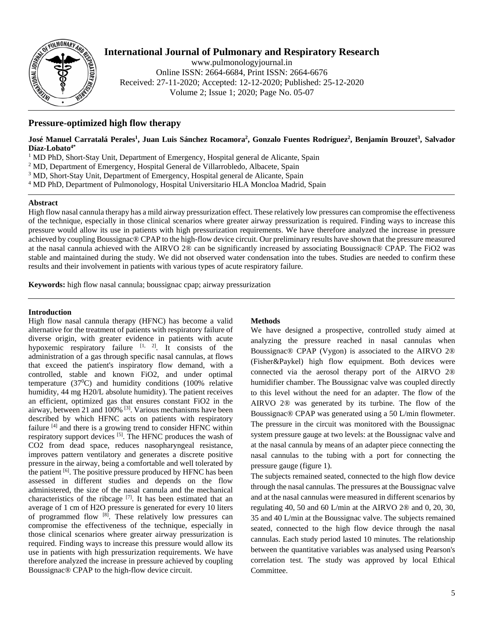

# **International Journal of Pulmonary and Respiratory Research**

www.pulmonologyjournal.in Online ISSN: 2664-6684, Print ISSN: 2664-6676 Received: 27-11-2020; Accepted: 12-12-2020; Published: 25-12-2020 Volume 2; Issue 1; 2020; Page No. 05-07

# **Pressure-optimized high flow therapy**

### José Manuel Carratalá Perales<sup>1</sup>, Juan Luis Sánchez Rocamora<sup>2</sup>, Gonzalo Fuentes Rodríguez<sup>2</sup>, Benjamín Brouzet<sup>3</sup>, Salvador **Díaz-Lobato4\***

 $1 \text{ MD PhD},$  Short-Stay Unit, Department of Emergency, Hospital general de Alicante, Spain

<sup>2</sup> MD, Department of Emergency, Hospital General de Villarrobledo, Albacete, Spain

<sup>3</sup> MD, Short-Stay Unit, Department of Emergency, Hospital general de Alicante, Spain

<sup>4</sup> MD PhD, Department of Pulmonology, Hospital Universitario HLA Moncloa Madrid, Spain

### **Abstract**

High flow nasal cannula therapy has a mild airway pressurization effect. These relatively low pressures can compromise the effectiveness of the technique, especially in those clinical scenarios where greater airway pressurization is required. Finding ways to increase this pressure would allow its use in patients with high pressurization requirements. We have therefore analyzed the increase in pressure achieved by coupling Boussignac® CPAP to the high-flow device circuit. Our preliminary results have shown that the pressure measured at the nasal cannula achieved with the AIRVO 2® can be significantly increased by associating Boussignac® CPAP. The FiO2 was stable and maintained during the study. We did not observed water condensation into the tubes. Studies are needed to confirm these results and their involvement in patients with various types of acute respiratory failure.

**Keywords:** high flow nasal cannula; boussignac cpap; airway pressurization

### **Introduction**

High flow nasal cannula therapy (HFNC) has become a valid alternative for the treatment of patients with respiratory failure of diverse origin, with greater evidence in patients with acute hypoxemic respiratory failure  $[1, 2]$ . It consists of the administration of a gas through specific nasal cannulas, at flows that exceed the patient's inspiratory flow demand, with a controlled, stable and known FiO2, and under optimal temperature  $(37^0C)$  and humidity conditions (100% relative humidity, 44 mg H20/L absolute humidity). The patient receives an efficient, optimized gas that ensures constant FiO2 in the airway, between 21 and  $100\%$  <sup>[3]</sup>. Various mechanisms have been described by which HFNC acts on patients with respiratory failure  $[4]$  and there is a growing trend to consider HFNC within respiratory support devices <sup>[5]</sup>. The HFNC produces the wash of CO2 from dead space, reduces nasopharyngeal resistance, improves pattern ventilatory and generates a discrete positive pressure in the airway, being a comfortable and well tolerated by the patient  $[6]$ . The positive pressure produced by HFNC has been assessed in different studies and depends on the flow administered, the size of the nasal cannula and the mechanical characteristics of the ribcage  $[7]$ . It has been estimated that an average of 1 cm of H2O pressure is generated for every 10 liters of programmed flow [8]. These relatively low pressures can compromise the effectiveness of the technique, especially in those clinical scenarios where greater airway pressurization is required. Finding ways to increase this pressure would allow its use in patients with high pressurization requirements. We have therefore analyzed the increase in pressure achieved by coupling Boussignac® CPAP to the high-flow device circuit.

## **Methods**

We have designed a prospective, controlled study aimed at analyzing the pressure reached in nasal cannulas when Boussignac® CPAP (Vygon) is associated to the AIRVO 2® (Fisher&Paykel) high flow equipment. Both devices were connected via the aerosol therapy port of the AIRVO 2® humidifier chamber. The Boussignac valve was coupled directly to this level without the need for an adapter. The flow of the AIRVO 2® was generated by its turbine. The flow of the Boussignac® CPAP was generated using a 50 L/min flowmeter. The pressure in the circuit was monitored with the Boussignac system pressure gauge at two levels: at the Boussignac valve and at the nasal cannula by means of an adapter piece connecting the nasal cannulas to the tubing with a port for connecting the pressure gauge (figure 1).

The subjects remained seated, connected to the high flow device through the nasal cannulas. The pressures at the Boussignac valve and at the nasal cannulas were measured in different scenarios by regulating 40, 50 and 60 L/min at the AIRVO 2® and 0, 20, 30, 35 and 40 L/min at the Boussignac valve. The subjects remained seated, connected to the high flow device through the nasal cannulas. Each study period lasted 10 minutes. The relationship between the quantitative variables was analysed using Pearson's correlation test. The study was approved by local Ethical Committee.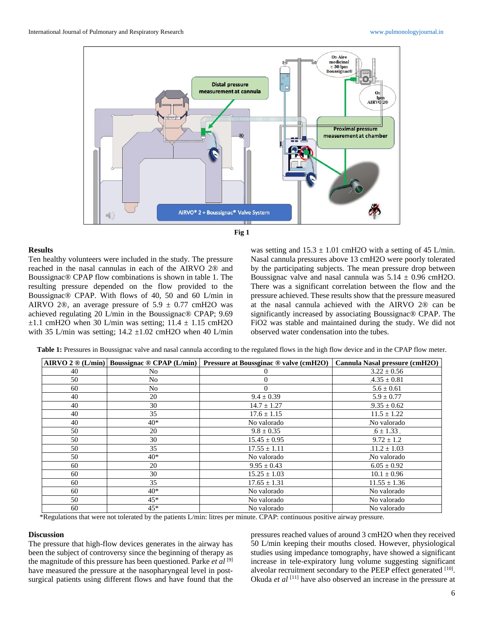



#### **Results**

Ten healthy volunteers were included in the study. The pressure reached in the nasal cannulas in each of the AIRVO 2® and Boussignac® CPAP flow combinations is shown in table 1. The resulting pressure depended on the flow provided to the Boussignac® CPAP. With flows of 40, 50 and 60 L/min in AIRVO 2<sup>®</sup>, an average pressure of  $5.9 \pm 0.77$  cmH2O was achieved regulating 20 L/min in the Boussignac® CPAP; 9.69  $\pm 1.1$  cmH2O when 30 L/min was setting;  $11.4 \pm 1.15$  cmH2O with 35 L/min was setting;  $14.2 \pm 1.02$  cmH2O when 40 L/min

was setting and  $15.3 \pm 1.01$  cmH2O with a setting of 45 L/min. Nasal cannula pressures above 13 cmH2O were poorly tolerated by the participating subjects. The mean pressure drop between Boussignac valve and nasal cannula was  $5.14 \pm 0.96$  cmH2O. There was a significant correlation between the flow and the pressure achieved. These results show that the pressure measured at the nasal cannula achieved with the AIRVO 2® can be significantly increased by associating Boussignac® CPAP. The FiO2 was stable and maintained during the study. We did not observed water condensation into the tubes.

| <b>Table 1:</b> Pressures in Boussignac valve and nasal cannula according to the regulated flows in the high flow device and in the CPAP flow meter. |  |  |  |
|------------------------------------------------------------------------------------------------------------------------------------------------------|--|--|--|
|------------------------------------------------------------------------------------------------------------------------------------------------------|--|--|--|

|    |                | AIRVO 2 $\circledR$ (L/min) Boussignac $\circledR$ CPAP (L/min) Pressure at Boussginac $\circledR$ valve (cmH2O) Cannula Nasal pressure (cmH2O) |                  |
|----|----------------|-------------------------------------------------------------------------------------------------------------------------------------------------|------------------|
| 40 | N <sub>0</sub> |                                                                                                                                                 | $3.22 \pm 0.56$  |
| 50 | N <sub>o</sub> | 0                                                                                                                                               | $4.35 \pm 0.81$  |
| 60 | N <sub>o</sub> | $\Omega$                                                                                                                                        | $5.6 \pm 0.61$   |
| 40 | 20             | $9.4 \pm 0.39$                                                                                                                                  | $5.9 \pm 0.77$   |
| 40 | 30             | $14.7 \pm 1.27$                                                                                                                                 | $.9.35 \pm 0.62$ |
| 40 | 35             | $17.6 \pm 1.15$                                                                                                                                 | $11.5 \pm 1.22$  |
| 40 | $40*$          | No valorado                                                                                                                                     | No valorado      |
| 50 | 20             | $9.8 \pm 0.35$                                                                                                                                  | $.6 \pm 1.33$ .  |
| 50 | 30             | $15.45 \pm 0.95$                                                                                                                                | $9.72 \pm 1.2$   |
| 50 | 35             | $17.55 \pm 1.11$                                                                                                                                | $.11.2 \pm 1.03$ |
| 50 | $40*$          | No valorado                                                                                                                                     | No valorado      |
| 60 | 20             | $9.95 \pm 0.43$                                                                                                                                 | $6.05 \pm 0.92$  |
| 60 | 30             | $15.25 \pm 1.03$                                                                                                                                | $10.1 \pm 0.96$  |
| 60 | 35             | $17.65 \pm 1.31$                                                                                                                                | $11.55 \pm 1.36$ |
| 60 | $40*$          | No valorado                                                                                                                                     | No valorado      |
| 50 | $45*$          | No valorado                                                                                                                                     | No valorado      |
| 60 | $45*$          | No valorado                                                                                                                                     | No valorado      |

\*Regulations that were not tolerated by the patients L/min: litres per minute. CPAP: continuous positive airway pressure.

#### **Discussion**

The pressure that high-flow devices generates in the airway has been the subject of controversy since the beginning of therapy as the magnitude of this pressure has been questioned. Parke *et al* [9] have measured the pressure at the nasopharyngeal level in postsurgical patients using different flows and have found that the

pressures reached values of around 3 cmH2O when they received 50 L/min keeping their mouths closed. However, physiological studies using impedance tomography, have showed a significant increase in tele-expiratory lung volume suggesting significant alveolar recruitment secondary to the PEEP effect generated [10]. Okuda *et al* [11] have also observed an increase in the pressure at